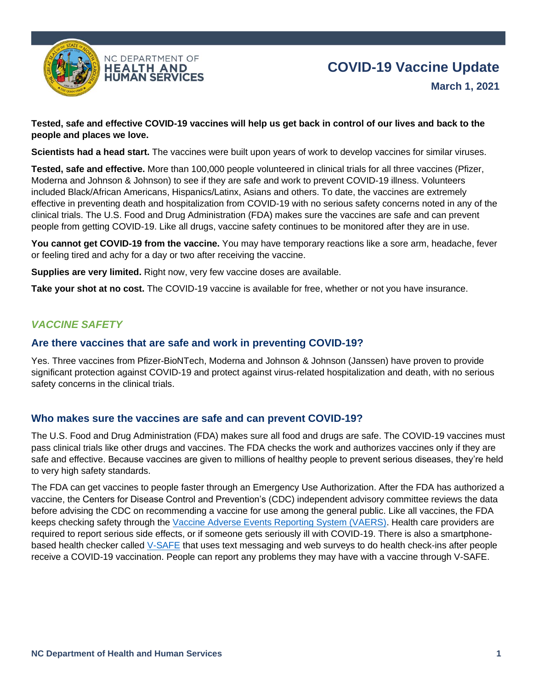

**Tested, safe and effective COVID-19 vaccines will help us get back in control of our lives and back to the people and places we love.**

**Scientists had a head start.** The vaccines were built upon years of work to develop vaccines for similar viruses.

**Tested, safe and effective.** More than 100,000 people volunteered in clinical trials for all three vaccines (Pfizer, Moderna and Johnson & Johnson) to see if they are safe and work to prevent COVID-19 illness. Volunteers included Black/African Americans, Hispanics/Latinx, Asians and others. To date, the vaccines are extremely effective in preventing death and hospitalization from COVID-19 with no serious safety concerns noted in any of the clinical trials. The U.S. Food and Drug Administration (FDA) makes sure the vaccines are safe and can prevent people from getting COVID-19. Like all drugs, vaccine safety continues to be monitored after they are in use.

**You cannot get COVID-19 from the vaccine.** You may have temporary reactions like a sore arm, headache, fever or feeling tired and achy for a day or two after receiving the vaccine.

**Supplies are very limited.** Right now, very few vaccine doses are available.

**Take your shot at no cost.** The COVID-19 vaccine is available for free, whether or not you have insurance.

# *VACCINE SAFETY*

### **Are there vaccines that are safe and work in preventing COVID-19?**

Yes. Three vaccines from Pfizer-BioNTech, Moderna and Johnson & Johnson (Janssen) have proven to provide significant protection against COVID-19 and protect against virus-related hospitalization and death, with no serious safety concerns in the clinical trials.

# **Who makes sure the vaccines are safe and can prevent COVID-19?**

The U.S. Food and Drug Administration (FDA) makes sure all food and drugs are safe. The COVID-19 vaccines must pass clinical trials like other drugs and vaccines. The FDA checks the work and authorizes vaccines only if they are safe and effective. Because vaccines are given to millions of healthy people to prevent serious diseases, they're held to very high safety standards.

The FDA can get vaccines to people faster through an Emergency Use Authorization. After the FDA has authorized a vaccine, the Centers for Disease Control and Prevention's (CDC) independent advisory committee reviews the data before advising the CDC on recommending a vaccine for use among the general public. Like all vaccines, the FDA keeps checking safety through the Vaccine Adverse Events Reporting System (VAERS). Health care providers are required to report serious side effects, or if someone gets seriously ill with COVID-19. There is also a smartphonebased health checker called V-SAFE that uses text messaging and web surveys to do health check-ins after people receive a COVID-19 vaccination. People can report any problems they may have with a vaccine through V-SAFE.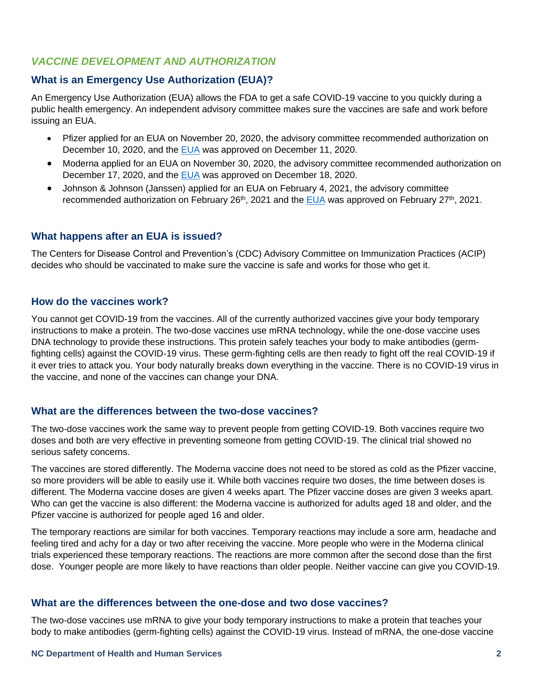# *VACCINE DEVELOPMENT AND AUTHORIZATION*

# **What is an Emergency Use Authorization (EUA)?**

An Emergency Use Authorization (EUA) allows the FDA to get a safe COVID-19 vaccine to you quickly during a public health emergency. An independent advisory committee makes sure the vaccines are safe and work before issuing an EUA.

- Pfizer applied for an EUA on November 20, 2020, the advisory committee recommended authorization on December 10, 2020, and the EUA was approved on December 11, 2020.
- Moderna applied for an EUA on November 30, 2020, the advisory committee recommended authorization on December 17, 2020, and the **EUA** was approved on December 18, 2020.
- Johnson & Johnson (Janssen) applied for an EUA on February 4, 2021, the advisory committee recommended authorization on February 26<sup>th</sup>, 2021 and the EUA was approved on February 27<sup>th</sup>, 2021.

# **What happens after an EUA is issued?**

The Centers for Disease Control and Prevention's (CDC) Advisory Committee on Immunization Practices (ACIP) decides who should be vaccinated to make sure the vaccine is safe and works for those who get it.

# **How do the vaccines work?**

You cannot get COVID-19 from the vaccines. All of the currently authorized vaccines give your body temporary instructions to make a protein. The two-dose vaccines use mRNA technology, while the one-dose vaccine uses DNA technology to provide these instructions. This protein safely teaches your body to make antibodies (germfighting cells) against the COVID-19 virus. These germ-fighting cells are then ready to fight off the real COVID-19 if it ever tries to attack you. Your body naturally breaks down everything in the vaccine. There is no COVID-19 virus in the vaccine, and none of the vaccines can change your DNA.

# **What are the differences between the two-dose vaccines?**

The two-dose vaccines work the same way to prevent people from getting COVID-19. Both vaccines require two doses and both are very effective in preventing someone from getting COVID-19. The clinical trial showed no serious safety concerns.

The vaccines are stored differently. The Moderna vaccine does not need to be stored as cold as the Pfizer vaccine, so more providers will be able to easily use it. While both vaccines require two doses, the time between doses is different. The Moderna vaccine doses are given 4 weeks apart. The Pfizer vaccine doses are given 3 weeks apart. Who can get the vaccine is also different: the Moderna vaccine is authorized for adults aged 18 and older, and the Pfizer vaccine is authorized for people aged 16 and older.

The temporary reactions are similar for both vaccines. Temporary reactions may include a sore arm, headache and feeling tired and achy for a day or two after receiving the vaccine. More people who were in the Moderna clinical trials experienced these temporary reactions. The reactions are more common after the second dose than the first dose. Younger people are more likely to have reactions than older people. Neither vaccine can give you COVID-19.

# **What are the differences between the one-dose and two dose vaccines?**

The two-dose vaccines use mRNA to give your body temporary instructions to make a protein that teaches your body to make antibodies (germ-fighting cells) against the COVID-19 virus. Instead of mRNA, the one-dose vaccine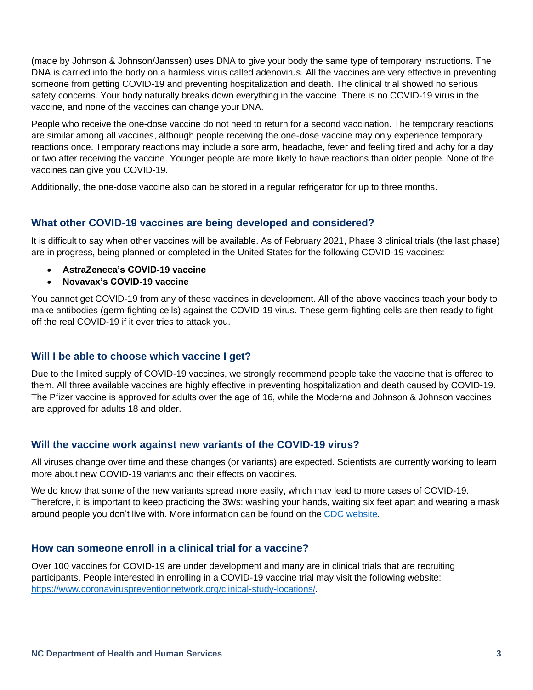(made by Johnson & Johnson/Janssen) uses DNA to give your body the same type of temporary instructions. The DNA is carried into the body on a harmless virus called adenovirus. All the vaccines are very effective in preventing someone from getting COVID-19 and preventing hospitalization and death. The clinical trial showed no serious safety concerns. Your body naturally breaks down everything in the vaccine. There is no COVID-19 virus in the vaccine, and none of the vaccines can change your DNA.

People who receive the one-dose vaccine do not need to return for a second vaccination**.** The temporary reactions are similar among all vaccines, although people receiving the one-dose vaccine may only experience temporary reactions once. Temporary reactions may include a sore arm, headache, fever and feeling tired and achy for a day or two after receiving the vaccine. Younger people are more likely to have reactions than older people. None of the vaccines can give you COVID-19.

Additionally, the one-dose vaccine also can be stored in a regular refrigerator for up to three months.

# **What other COVID-19 vaccines are being developed and considered?**

It is difficult to say when other vaccines will be available. As of February 2021, Phase 3 clinical trials (the last phase) are in progress, being planned or completed in the United States for the following COVID-19 vaccines:

- **AstraZeneca's COVID-19 vaccine**
- **Novavax's COVID-19 vaccine**

You cannot get COVID-19 from any of these vaccines in development. All of the above vaccines teach your body to make antibodies (germ-fighting cells) against the COVID-19 virus. These germ-fighting cells are then ready to fight off the real COVID-19 if it ever tries to attack you.

# **Will I be able to choose which vaccine I get?**

Due to the limited supply of COVID-19 vaccines, we strongly recommend people take the vaccine that is offered to them. All three available vaccines are highly effective in preventing hospitalization and death caused by COVID-19. The Pfizer vaccine is approved for adults over the age of 16, while the Moderna and Johnson & Johnson vaccines are approved for adults 18 and older.

# **Will the vaccine work against new variants of the COVID-19 virus?**

All viruses change over time and these changes (or variants) are expected. Scientists are currently working to learn more about new COVID-19 variants and their effects on vaccines.

We do know that some of the new variants spread more easily, which may lead to more cases of COVID-19. Therefore, it is important to keep practicing the 3Ws: washing your hands, waiting six feet apart and wearing a mask around people you don't live with. More information can be found on the CDC website.

# **How can someone enroll in a clinical trial for a vaccine?**

Over 100 vaccines for COVID-19 are under development and many are in clinical trials that are recruiting participants. People interested in enrolling in a COVID-19 vaccine trial may visit the following website: https://www.coronaviruspreventionnetwork.org/clinical-study-locations/.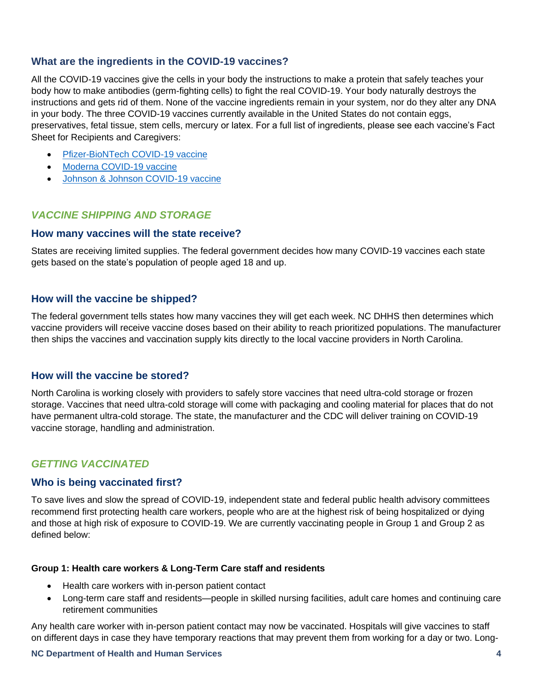# **What are the ingredients in the COVID-19 vaccines?**

All the COVID-19 vaccines give the cells in your body the instructions to make a protein that safely teaches your body how to make antibodies (germ-fighting cells) to fight the real COVID-19. Your body naturally destroys the instructions and gets rid of them. None of the vaccine ingredients remain in your system, nor do they alter any DNA in your body. The three COVID-19 vaccines currently available in the United States do not contain eggs, preservatives, fetal tissue, stem cells, mercury or latex. For a full list of ingredients, please see each vaccine's Fact Sheet for Recipients and Caregivers:

- Pfizer-BioNTech COVID-19 vaccine
- Moderna COVID-19 vaccine
- Johnson & Johnson COVID-19 vaccine

# *VACCINE SHIPPING AND STORAGE*

### **How many vaccines will the state receive?**

States are receiving limited supplies. The federal government decides how many COVID-19 vaccines each state gets based on the state's population of people aged 18 and up.

# **How will the vaccine be shipped?**

The federal government tells states how many vaccines they will get each week. NC DHHS then determines which vaccine providers will receive vaccine doses based on their ability to reach prioritized populations. The manufacturer then ships the vaccines and vaccination supply kits directly to the local vaccine providers in North Carolina.

# **How will the vaccine be stored?**

North Carolina is working closely with providers to safely store vaccines that need ultra-cold storage or frozen storage. Vaccines that need ultra-cold storage will come with packaging and cooling material for places that do not have permanent ultra-cold storage. The state, the manufacturer and the CDC will deliver training on COVID-19 vaccine storage, handling and administration.

# *GETTING VACCINATED*

#### **Who is being vaccinated first?**

To save lives and slow the spread of COVID-19, independent state and federal public health advisory committees recommend first protecting health care workers, people who are at the highest risk of being hospitalized or dying and those at high risk of exposure to COVID-19. We are currently vaccinating people in Group 1 and Group 2 as defined below:

#### **Group 1: Health care workers & Long-Term Care staff and residents**

- Health care workers with in-person patient contact
- Long-term care staff and residents—people in skilled nursing facilities, adult care homes and continuing care retirement communities

Any health care worker with in-person patient contact may now be vaccinated. Hospitals will give vaccines to staff on different days in case they have temporary reactions that may prevent them from working for a day or two. Long-

#### **NC Department of Health and Human Services 4**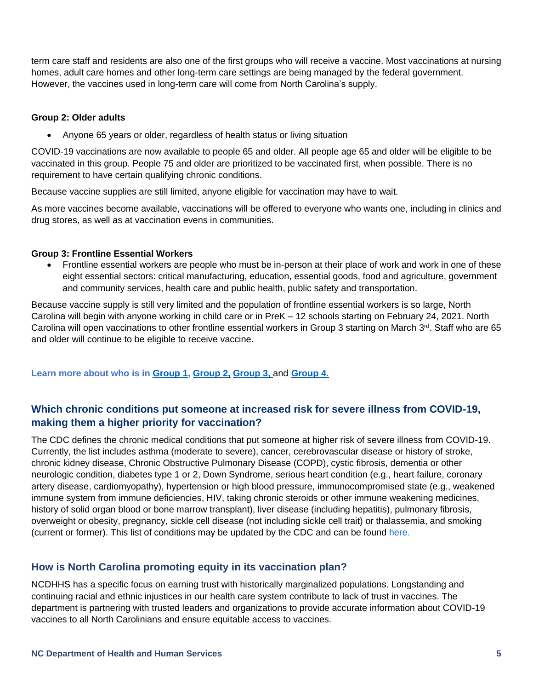term care staff and residents are also one of the first groups who will receive a vaccine. Most vaccinations at nursing homes, adult care homes and other long-term care settings are being managed by the federal government. However, the vaccines used in long-term care will come from North Carolina's supply.

#### **Group 2: Older adults**

• Anyone 65 years or older, regardless of health status or living situation

COVID-19 vaccinations are now available to people 65 and older. All people age 65 and older will be eligible to be vaccinated in this group. People 75 and older are prioritized to be vaccinated first, when possible. There is no requirement to have certain qualifying chronic conditions.

Because vaccine supplies are still limited, anyone eligible for vaccination may have to wait.

As more vaccines become available, vaccinations will be offered to everyone who wants one, including in clinics and drug stores, as well as at vaccination evens in communities.

#### **Group 3: Frontline Essential Workers**

• Frontline essential workers are people who must be in-person at their place of work and work in one of these eight essential sectors: critical manufacturing, education, essential goods, food and agriculture, government and community services, health care and public health, public safety and transportation.

Because vaccine supply is still very limited and the population of frontline essential workers is so large, North Carolina will begin with anyone working in child care or in PreK – 12 schools starting on February 24, 2021. North Carolina will open vaccinations to other frontline essential workers in Group 3 starting on March 3<sup>rd</sup>. Staff who are 65 and older will continue to be eligible to receive vaccine.

### **Learn more about who is in Group 1, Group 2, Group 3,** and **Group 4.**

# **Which chronic conditions put someone at increased risk for severe illness from COVID-19, making them a higher priority for vaccination?**

The CDC defines the chronic medical conditions that put someone at higher risk of severe illness from COVID-19. Currently, the list includes asthma (moderate to severe), cancer, cerebrovascular disease or history of stroke, chronic kidney disease, Chronic Obstructive Pulmonary Disease (COPD), cystic fibrosis, dementia or other neurologic condition, diabetes type 1 or 2, Down Syndrome, serious heart condition (e.g., heart failure, coronary artery disease, cardiomyopathy), hypertension or high blood pressure, immunocompromised state (e.g., weakened immune system from immune deficiencies, HIV, taking chronic steroids or other immune weakening medicines, history of solid organ blood or bone marrow transplant), liver disease (including hepatitis), pulmonary fibrosis, overweight or obesity, pregnancy, sickle cell disease (not including sickle cell trait) or thalassemia, and smoking (current or former). This list of conditions may be updated by the CDC and can be found here.

# **How is North Carolina promoting equity in its vaccination plan?**

NCDHHS has a specific focus on earning trust with historically marginalized populations. Longstanding and continuing racial and ethnic injustices in our health care system contribute to lack of trust in vaccines. The department is partnering with trusted leaders and organizations to provide accurate information about COVID-19 vaccines to all North Carolinians and ensure equitable access to vaccines.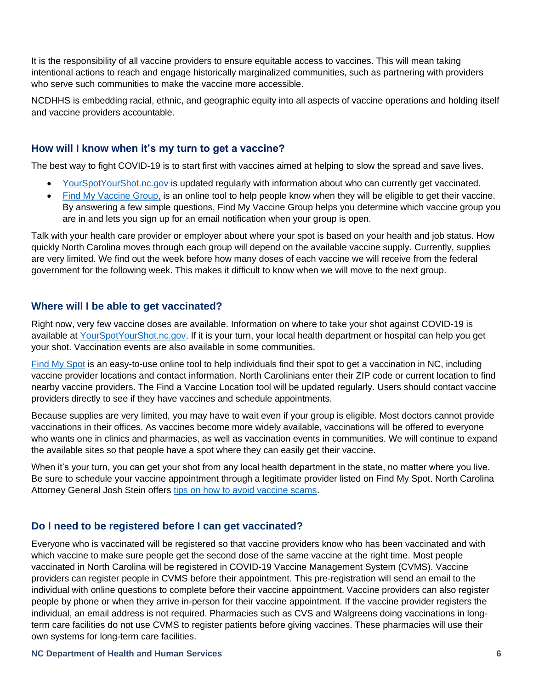It is the responsibility of all vaccine providers to ensure equitable access to vaccines. This will mean taking intentional actions to reach and engage historically marginalized communities, such as partnering with providers who serve such communities to make the vaccine more accessible.

NCDHHS is embedding racial, ethnic, and geographic equity into all aspects of vaccine operations and holding itself and vaccine providers accountable.

# **How will I know when it's my turn to get a vaccine?**

The best way to fight COVID-19 is to start first with vaccines aimed at helping to slow the spread and save lives.

- YourSpotYourShot.nc.gov is updated regularly with information about who can currently get vaccinated.
- Find My Vaccine Group, is an online tool to help people know when they will be eligible to get their vaccine. By answering a few simple questions, Find My Vaccine Group helps you determine which vaccine group you are in and lets you sign up for an email notification when your group is open.

Talk with your health care provider or employer about where your spot is based on your health and job status. How quickly North Carolina moves through each group will depend on the available vaccine supply. Currently, supplies are very limited. We find out the week before how many doses of each vaccine we will receive from the federal government for the following week. This makes it difficult to know when we will move to the next group.

# **Where will I be able to get vaccinated?**

Right now, very few vaccine doses are available. Information on where to take your shot against COVID-19 is available at YourSpotYourShot.nc.gov. If it is your turn, your local health department or hospital can help you get your shot. Vaccination events are also available in some communities.

Find My Spot is an easy-to-use online tool to help individuals find their spot to get a vaccination in NC, including vaccine provider locations and contact information. North Carolinians enter their ZIP code or current location to find nearby vaccine providers. The Find a Vaccine Location tool will be updated regularly. Users should contact vaccine providers directly to see if they have vaccines and schedule appointments.

Because supplies are very limited, you may have to wait even if your group is eligible. Most doctors cannot provide vaccinations in their offices. As vaccines become more widely available, vaccinations will be offered to everyone who wants one in clinics and pharmacies, as well as vaccination events in communities. We will continue to expand the available sites so that people have a spot where they can easily get their vaccine.

When it's your turn, you can get your shot from any local health department in the state, no matter where you live. Be sure to schedule your vaccine appointment through a legitimate provider listed on Find My Spot. North Carolina Attorney General Josh Stein offers tips on how to avoid vaccine scams.

# **Do I need to be registered before I can get vaccinated?**

Everyone who is vaccinated will be registered so that vaccine providers know who has been vaccinated and with which vaccine to make sure people get the second dose of the same vaccine at the right time. Most people vaccinated in North Carolina will be registered in COVID-19 Vaccine Management System (CVMS). Vaccine providers can register people in CVMS before their appointment. This pre-registration will send an email to the individual with online questions to complete before their vaccine appointment. Vaccine providers can also register people by phone or when they arrive in-person for their vaccine appointment. If the vaccine provider registers the individual, an email address is not required. Pharmacies such as CVS and Walgreens doing vaccinations in longterm care facilities do not use CVMS to register patients before giving vaccines. These pharmacies will use their own systems for long-term care facilities.

#### **NC Department of Health and Human Services 6**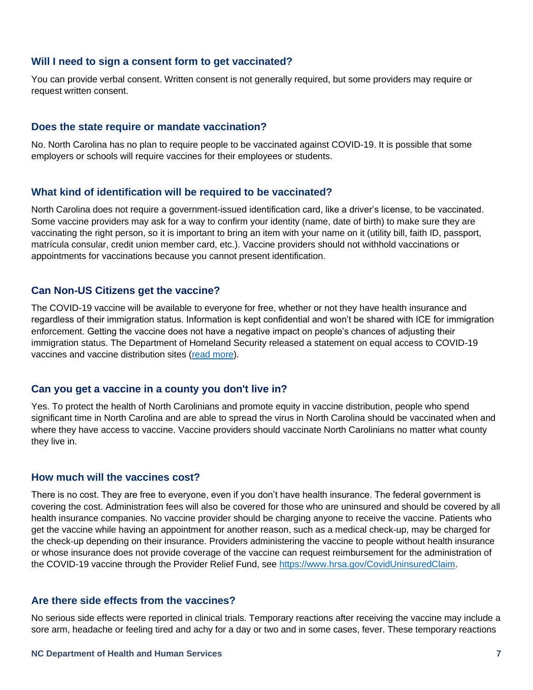### **Will I need to sign a consent form to get vaccinated?**

You can provide verbal consent. Written consent is not generally required, but some providers may require or request written consent.

#### **Does the state require or mandate vaccination?**

No. North Carolina has no plan to require people to be vaccinated against COVID-19. It is possible that some employers or schools will require vaccines for their employees or students.

#### **What kind of identification will be required to be vaccinated?**

North Carolina does not require a government-issued identification card, like a driver's license, to be vaccinated. Some vaccine providers may ask for a way to confirm your identity (name, date of birth) to make sure they are vaccinating the right person, so it is important to bring an item with your name on it (utility bill, faith ID, passport, matrícula consular, credit union member card, etc.). Vaccine providers should not withhold vaccinations or appointments for vaccinations because you cannot present identification.

# **Can Non-US Citizens get the vaccine?**

The COVID-19 vaccine will be available to everyone for free, whether or not they have health insurance and regardless of their immigration status. Information is kept confidential and won't be shared with ICE for immigration enforcement. Getting the vaccine does not have a negative impact on people's chances of adjusting their immigration status. The Department of Homeland Security released a statement on equal access to COVID-19 vaccines and vaccine distribution sites (read more).

#### **Can you get a vaccine in a county you don't live in?**

Yes. To protect the health of North Carolinians and promote equity in vaccine distribution, people who spend significant time in North Carolina and are able to spread the virus in North Carolina should be vaccinated when and where they have access to vaccine. Vaccine providers should vaccinate North Carolinians no matter what county they live in.

#### **How much will the vaccines cost?**

There is no cost. They are free to everyone, even if you don't have health insurance. The federal government is covering the cost. Administration fees will also be covered for those who are uninsured and should be covered by all health insurance companies. No vaccine provider should be charging anyone to receive the vaccine. Patients who get the vaccine while having an appointment for another reason, such as a medical check-up, may be charged for the check-up depending on their insurance. Providers administering the vaccine to people without health insurance or whose insurance does not provide coverage of the vaccine can request reimbursement for the administration of the COVID-19 vaccine through the Provider Relief Fund, see https://www.hrsa.gov/CovidUninsuredClaim.

#### **Are there side effects from the vaccines?**

No serious side effects were reported in clinical trials. Temporary reactions after receiving the vaccine may include a sore arm, headache or feeling tired and achy for a day or two and in some cases, fever. These temporary reactions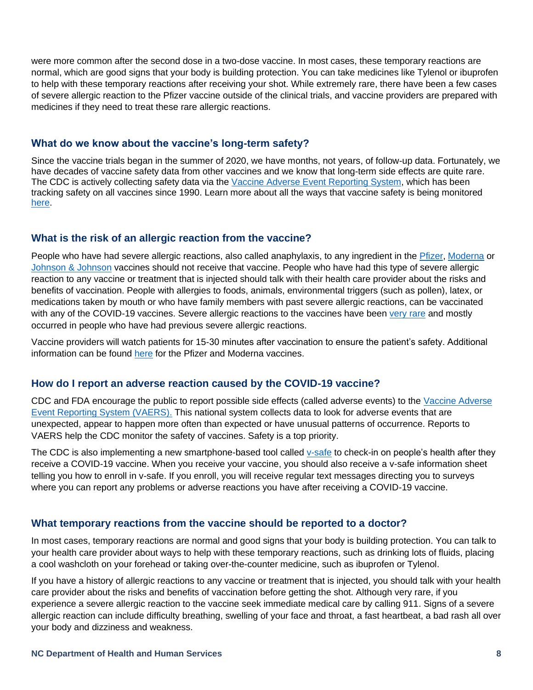were more common after the second dose in a two-dose vaccine. In most cases, these temporary reactions are normal, which are good signs that your body is building protection. You can take medicines like Tylenol or ibuprofen to help with these temporary reactions after receiving your shot. While extremely rare, there have been a few cases of severe allergic reaction to the Pfizer vaccine outside of the clinical trials, and vaccine providers are prepared with medicines if they need to treat these rare allergic reactions.

# **What do we know about the vaccine's long-term safety?**

Since the vaccine trials began in the summer of 2020, we have months, not years, of follow-up data. Fortunately, we have decades of vaccine safety data from other vaccines and we know that long-term side effects are quite rare. The CDC is actively collecting safety data via the Vaccine Adverse Event Reporting System, which has been tracking safety on all vaccines since 1990. Learn more about all the ways that vaccine safety is being monitored here.

### **What is the risk of an allergic reaction from the vaccine?**

People who have had severe allergic reactions, also called anaphylaxis, to any ingredient in the Pfizer, Moderna or Johnson & Johnson vaccines should not receive that vaccine. People who have had this type of severe allergic reaction to any vaccine or treatment that is injected should talk with their health care provider about the risks and benefits of vaccination. People with allergies to foods, animals, environmental triggers (such as pollen), latex, or medications taken by mouth or who have family members with past severe allergic reactions, can be vaccinated with any of the COVID-19 vaccines. Severe allergic reactions to the vaccines have been very rare and mostly occurred in people who have had previous severe allergic reactions.

Vaccine providers will watch patients for 15-30 minutes after vaccination to ensure the patient's safety. Additional information can be found here for the Pfizer and Moderna vaccines.

# **How do I report an adverse reaction caused by the COVID-19 vaccine?**

CDC and FDA encourage the public to report possible side effects (called adverse events) to the Vaccine Adverse Event Reporting System (VAERS). This national system collects data to look for adverse events that are unexpected, appear to happen more often than expected or have unusual patterns of occurrence. Reports to VAERS help the CDC monitor the safety of vaccines. Safety is a top priority.

The CDC is also implementing a new smartphone-based tool called v-safe to check-in on people's health after they receive a COVID-19 vaccine. When you receive your vaccine, you should also receive a v-safe information sheet telling you how to enroll in v-safe. If you enroll, you will receive regular text messages directing you to surveys where you can report any problems or adverse reactions you have after receiving a COVID-19 vaccine.

### **What temporary reactions from the vaccine should be reported to a doctor?**

In most cases, temporary reactions are normal and good signs that your body is building protection. You can talk to your health care provider about ways to help with these temporary reactions, such as drinking lots of fluids, placing a cool washcloth on your forehead or taking over-the-counter medicine, such as ibuprofen or Tylenol.

If you have a history of allergic reactions to any vaccine or treatment that is injected, you should talk with your health care provider about the risks and benefits of vaccination before getting the shot. Although very rare, if you experience a severe allergic reaction to the vaccine seek immediate medical care by calling 911. Signs of a severe allergic reaction can include difficulty breathing, swelling of your face and throat, a fast heartbeat, a bad rash all over your body and dizziness and weakness.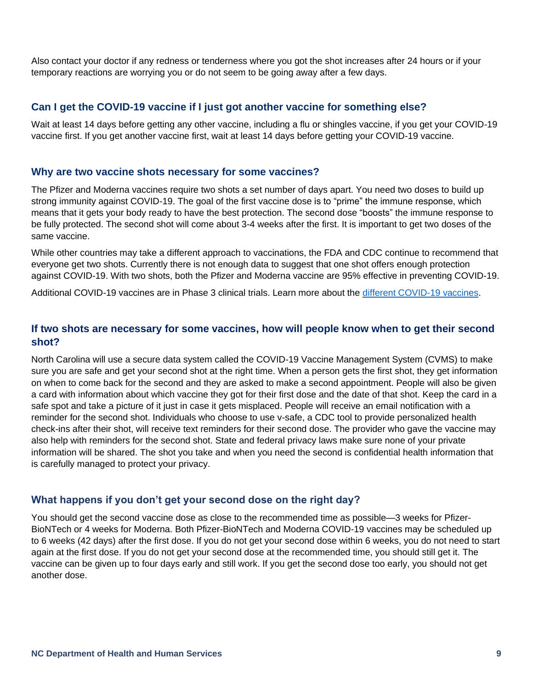Also contact your doctor if any redness or tenderness where you got the shot increases after 24 hours or if your temporary reactions are worrying you or do not seem to be going away after a few days.

# **Can I get the COVID-19 vaccine if I just got another vaccine for something else?**

Wait at least 14 days before getting any other vaccine, including a flu or shingles vaccine, if you get your COVID-19 vaccine first. If you get another vaccine first, wait at least 14 days before getting your COVID-19 vaccine.

# **Why are two vaccine shots necessary for some vaccines?**

The Pfizer and Moderna vaccines require two shots a set number of days apart. You need two doses to build up strong immunity against COVID-19. The goal of the first vaccine dose is to "prime" the immune response, which means that it gets your body ready to have the best protection. The second dose "boosts" the immune response to be fully protected. The second shot will come about 3-4 weeks after the first. It is important to get two doses of the same vaccine.

While other countries may take a different approach to vaccinations, the FDA and CDC continue to recommend that everyone get two shots. Currently there is not enough data to suggest that one shot offers enough protection against COVID-19. With two shots, both the Pfizer and Moderna vaccine are 95% effective in preventing COVID-19.

Additional COVID-19 vaccines are in Phase 3 clinical trials. Learn more about the different COVID-19 vaccines.

# **If two shots are necessary for some vaccines, how will people know when to get their second shot?**

North Carolina will use a secure data system called the COVID-19 Vaccine Management System (CVMS) to make sure you are safe and get your second shot at the right time. When a person gets the first shot, they get information on when to come back for the second and they are asked to make a second appointment. People will also be given a card with information about which vaccine they got for their first dose and the date of that shot. Keep the card in a safe spot and take a picture of it just in case it gets misplaced. People will receive an email notification with a reminder for the second shot. Individuals who choose to use v-safe, a CDC tool to provide personalized health check-ins after their shot, will receive text reminders for their second dose. The provider who gave the vaccine may also help with reminders for the second shot. State and federal privacy laws make sure none of your private information will be shared. The shot you take and when you need the second is confidential health information that is carefully managed to protect your privacy.

# **What happens if you don't get your second dose on the right day?**

You should get the second vaccine dose as close to the recommended time as possible—3 weeks for Pfizer-BioNTech or 4 weeks for Moderna. Both Pfizer-BioNTech and Moderna COVID-19 vaccines may be scheduled up to 6 weeks (42 days) after the first dose. If you do not get your second dose within 6 weeks, you do not need to start again at the first dose. If you do not get your second dose at the recommended time, you should still get it. The vaccine can be given up to four days early and still work. If you get the second dose too early, you should not get another dose.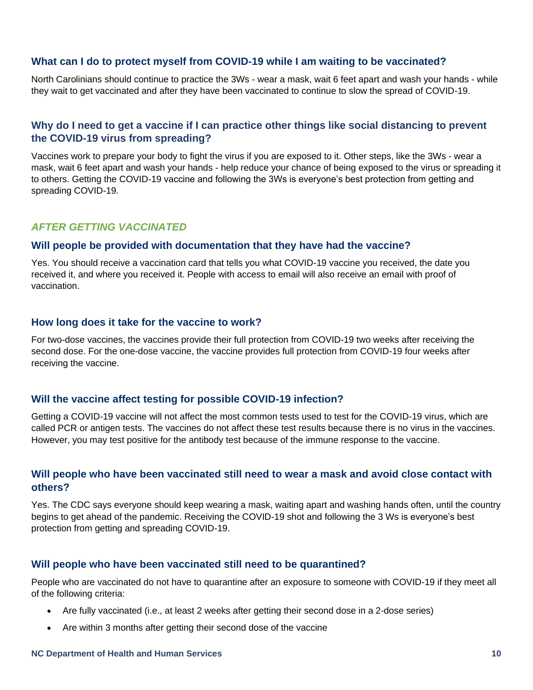# **What can I do to protect myself from COVID-19 while I am waiting to be vaccinated?**

North Carolinians should continue to practice the 3Ws - wear a mask, wait 6 feet apart and wash your hands - while they wait to get vaccinated and after they have been vaccinated to continue to slow the spread of COVID-19.

# **Why do I need to get a vaccine if I can practice other things like social distancing to prevent the COVID-19 virus from spreading?**

Vaccines work to prepare your body to fight the virus if you are exposed to it. Other steps, like the 3Ws - wear a mask, wait 6 feet apart and wash your hands - help reduce your chance of being exposed to the virus or spreading it to others. Getting the COVID-19 vaccine and following the 3Ws is everyone's best protection from getting and spreading COVID-19.

# *AFTER GETTING VACCINATED*

# **Will people be provided with documentation that they have had the vaccine?**

Yes. You should receive a vaccination card that tells you what COVID-19 vaccine you received, the date you received it, and where you received it. People with access to email will also receive an email with proof of vaccination.

# **How long does it take for the vaccine to work?**

For two-dose vaccines, the vaccines provide their full protection from COVID-19 two weeks after receiving the second dose. For the one-dose vaccine, the vaccine provides full protection from COVID-19 four weeks after receiving the vaccine.

# **Will the vaccine affect testing for possible COVID-19 infection?**

Getting a COVID-19 vaccine will not affect the most common tests used to test for the COVID-19 virus, which are called PCR or antigen tests. The vaccines do not affect these test results because there is no virus in the vaccines. However, you may test positive for the antibody test because of the immune response to the vaccine.

# **Will people who have been vaccinated still need to wear a mask and avoid close contact with others?**

Yes. The CDC says everyone should keep wearing a mask, waiting apart and washing hands often, until the country begins to get ahead of the pandemic. Receiving the COVID-19 shot and following the 3 Ws is everyone's best protection from getting and spreading COVID-19.

# **Will people who have been vaccinated still need to be quarantined?**

People who are vaccinated do not have to quarantine after an exposure to someone with COVID-19 if they meet all of the following criteria:

- Are fully vaccinated (i.e., at least 2 weeks after getting their second dose in a 2-dose series)
- Are within 3 months after getting their second dose of the vaccine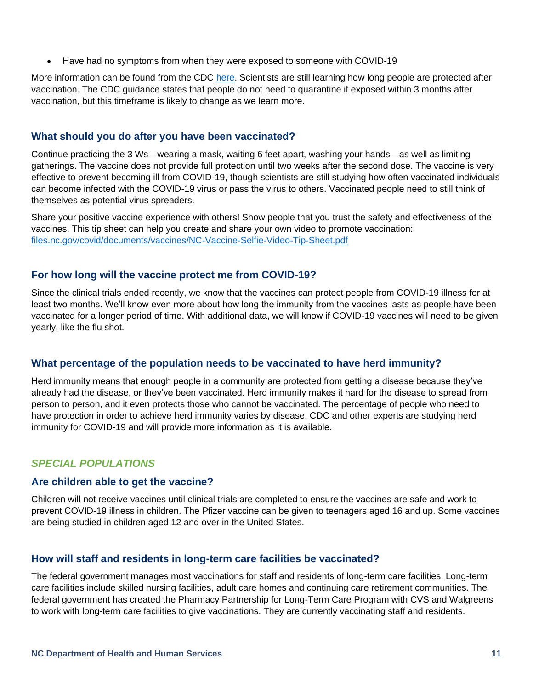• Have had no symptoms from when they were exposed to someone with COVID-19

More information can be found from the CDC here. Scientists are still learning how long people are protected after vaccination. The CDC guidance states that people do not need to quarantine if exposed within 3 months after vaccination, but this timeframe is likely to change as we learn more.

### **What should you do after you have been vaccinated?**

Continue practicing the 3 Ws—wearing a mask, waiting 6 feet apart, washing your hands—as well as limiting gatherings. The vaccine does not provide full protection until two weeks after the second dose. The vaccine is very effective to prevent becoming ill from COVID-19, though scientists are still studying how often vaccinated individuals can become infected with the COVID-19 virus or pass the virus to others. Vaccinated people need to still think of themselves as potential virus spreaders.

Share your positive vaccine experience with others! Show people that you trust the safety and effectiveness of the vaccines. This tip sheet can help you create and share your own video to promote vaccination: files.nc.gov/covid/documents/vaccines/NC-Vaccine-Selfie-Video-Tip-Sheet.pdf

# **For how long will the vaccine protect me from COVID-19?**

Since the clinical trials ended recently, we know that the vaccines can protect people from COVID-19 illness for at least two months. We'll know even more about how long the immunity from the vaccines lasts as people have been vaccinated for a longer period of time. With additional data, we will know if COVID-19 vaccines will need to be given yearly, like the flu shot.

# **What percentage of the population needs to be vaccinated to have herd immunity?**

Herd immunity means that enough people in a community are protected from getting a disease because they've already had the disease, or they've been vaccinated. Herd immunity makes it hard for the disease to spread from person to person, and it even protects those who cannot be vaccinated. The percentage of people who need to have protection in order to achieve herd immunity varies by disease. CDC and other experts are studying herd immunity for COVID-19 and will provide more information as it is available.

# *SPECIAL POPULATIONS*

#### **Are children able to get the vaccine?**

Children will not receive vaccines until clinical trials are completed to ensure the vaccines are safe and work to prevent COVID-19 illness in children. The Pfizer vaccine can be given to teenagers aged 16 and up. Some vaccines are being studied in children aged 12 and over in the United States.

# **How will staff and residents in long-term care facilities be vaccinated?**

The federal government manages most vaccinations for staff and residents of long-term care facilities. Long-term care facilities include skilled nursing facilities, adult care homes and continuing care retirement communities. The federal government has created the Pharmacy Partnership for Long-Term Care Program with CVS and Walgreens to work with long-term care facilities to give vaccinations. They are currently vaccinating staff and residents.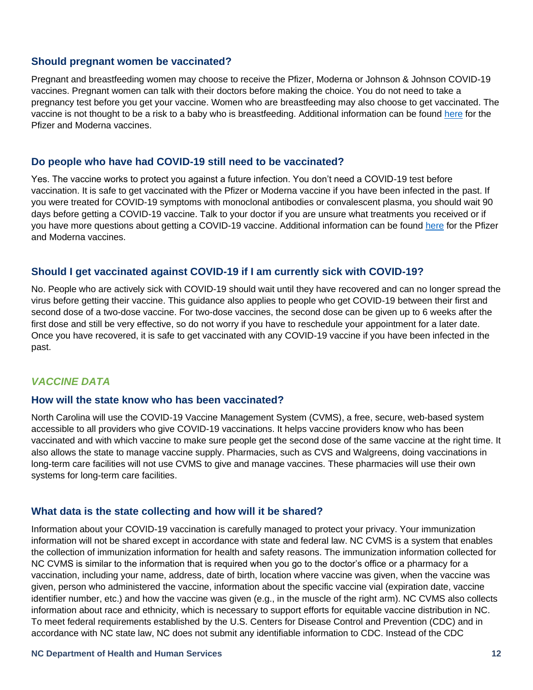# **Should pregnant women be vaccinated?**

Pregnant and breastfeeding women may choose to receive the Pfizer, Moderna or Johnson & Johnson COVID-19 vaccines. Pregnant women can talk with their doctors before making the choice. You do not need to take a pregnancy test before you get your vaccine. Women who are breastfeeding may also choose to get vaccinated. The vaccine is not thought to be a risk to a baby who is breastfeeding. Additional information can be found here for the Pfizer and Moderna vaccines.

### **Do people who have had COVID-19 still need to be vaccinated?**

Yes. The vaccine works to protect you against a future infection. You don't need a COVID-19 test before vaccination. It is safe to get vaccinated with the Pfizer or Moderna vaccine if you have been infected in the past. If you were treated for COVID-19 symptoms with monoclonal antibodies or convalescent plasma, you should wait 90 days before getting a COVID-19 vaccine. Talk to your doctor if you are unsure what treatments you received or if you have more questions about getting a COVID-19 vaccine. Additional information can be found here for the Pfizer and Moderna vaccines.

#### **Should I get vaccinated against COVID-19 if I am currently sick with COVID-19?**

No. People who are actively sick with COVID-19 should wait until they have recovered and can no longer spread the virus before getting their vaccine. This guidance also applies to people who get COVID-19 between their first and second dose of a two-dose vaccine. For two-dose vaccines, the second dose can be given up to 6 weeks after the first dose and still be very effective, so do not worry if you have to reschedule your appointment for a later date. Once you have recovered, it is safe to get vaccinated with any COVID-19 vaccine if you have been infected in the past.

# *VACCINE DATA*

#### **How will the state know who has been vaccinated?**

North Carolina will use the COVID-19 Vaccine Management System (CVMS), a free, secure, web-based system accessible to all providers who give COVID-19 vaccinations. It helps vaccine providers know who has been vaccinated and with which vaccine to make sure people get the second dose of the same vaccine at the right time. It also allows the state to manage vaccine supply. Pharmacies, such as CVS and Walgreens, doing vaccinations in long-term care facilities will not use CVMS to give and manage vaccines. These pharmacies will use their own systems for long-term care facilities.

#### **What data is the state collecting and how will it be shared?**

Information about your COVID-19 vaccination is carefully managed to protect your privacy. Your immunization information will not be shared except in accordance with state and federal law. NC CVMS is a system that enables the collection of immunization information for health and safety reasons. The immunization information collected for NC CVMS is similar to the information that is required when you go to the doctor's office or a pharmacy for a vaccination, including your name, address, date of birth, location where vaccine was given, when the vaccine was given, person who administered the vaccine, information about the specific vaccine vial (expiration date, vaccine identifier number, etc.) and how the vaccine was given (e.g., in the muscle of the right arm). NC CVMS also collects information about race and ethnicity, which is necessary to support efforts for equitable vaccine distribution in NC. To meet federal requirements established by the U.S. Centers for Disease Control and Prevention (CDC) and in accordance with NC state law, NC does not submit any identifiable information to CDC. Instead of the CDC

#### **NC Department of Health and Human Services 12**